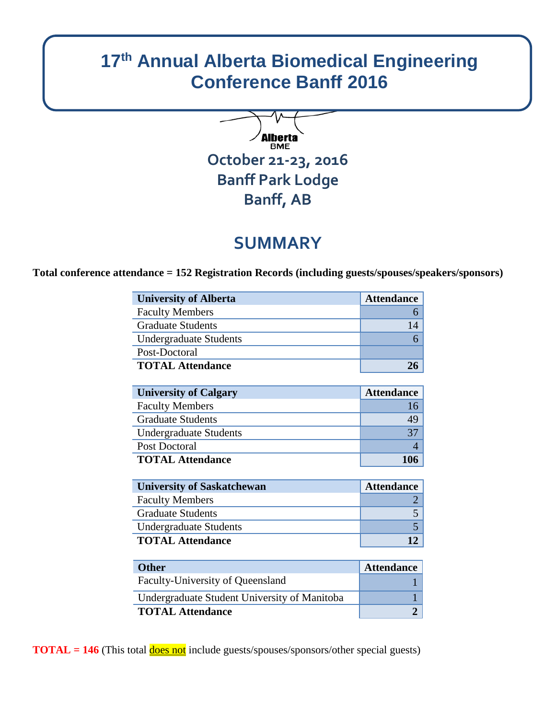# **17th Annual Alberta Biomedical Engineering Conference Banff 2016**



## **SUMMARY**

**Total conference attendance = 152 Registration Records (including guests/spouses/speakers/sponsors)**

| <b>University of Alberta</b>  | <b>Attendance</b> |
|-------------------------------|-------------------|
| <b>Faculty Members</b>        |                   |
| <b>Graduate Students</b>      | 14                |
| <b>Undergraduate Students</b> |                   |
| Post-Doctoral                 |                   |
| <b>TOTAL Attendance</b>       |                   |

| <b>University of Calgary</b>  | <b>Attendance</b> |
|-------------------------------|-------------------|
| <b>Faculty Members</b>        |                   |
| <b>Graduate Students</b>      | 49                |
| <b>Undergraduate Students</b> | 37                |
| Post Doctoral                 |                   |
| <b>TOTAL Attendance</b>       | 106               |

| <b>University of Saskatchewan</b> | <b>Attendance</b> |
|-----------------------------------|-------------------|
| <b>Faculty Members</b>            |                   |
| <b>Graduate Students</b>          |                   |
| Undergraduate Students            |                   |
| <b>TOTAL Attendance</b>           |                   |

| <b>Other</b>                                 | <b>Attendance</b> |
|----------------------------------------------|-------------------|
| Faculty-University of Queensland             |                   |
| Undergraduate Student University of Manitoba |                   |
| <b>TOTAL Attendance</b>                      |                   |

**TOTAL = 146** (This total **does not** include guests/spouses/sponsors/other special guests)